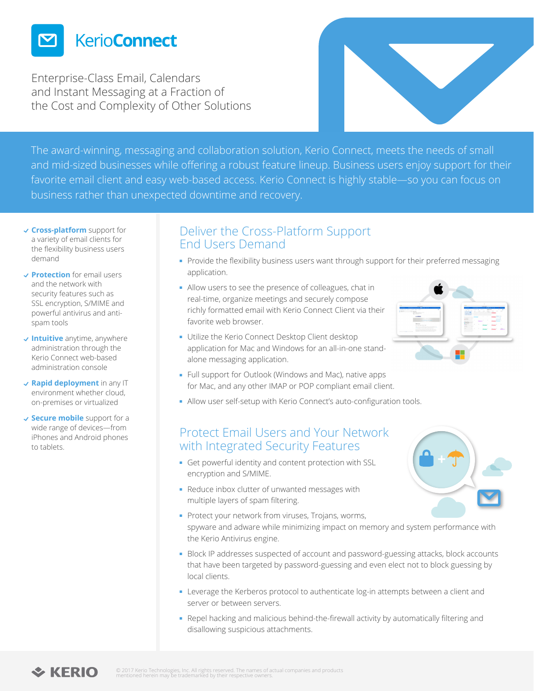

Enterprise-Class Email, Calendars and Instant Messaging at a Fraction of the Cost and Complexity of Other Solutions



The award-winning, messaging and collaboration solution, Kerio Connect, meets the needs of small and mid-sized businesses while offering a robust feature lineup. Business users enjoy support for their favorite email client and easy web-based access. Kerio Connect is highly stable—so you can focus on business rather than unexpected downtime and recovery.

- **Cross-platform** support for a variety of email clients for the flexibility business users demand
- **Protection** for email users and the network with security features such as SSL encryption, S/MIME and powerful antivirus and antispam tools
- **Intuitive** anytime, anywhere administration through the Kerio Connect web-based administration console
- **Rapid deployment** in any IT environment whether cloud, on-premises or virtualized
- **Secure mobile** support for a wide range of devices—from iPhones and Android phones to tablets.

### Deliver the Cross-Platform Support End Users Demand

- Provide the flexibility business users want through support for their preferred messaging application.
- Allow users to see the presence of colleagues, chat in real-time, organize meetings and securely compose richly formatted email with Kerio Connect Client via their favorite web browser.
- Utilize the Kerio Connect Desktop Client desktop application for Mac and Windows for an all-in-one standalone messaging application.
- Full support for Outlook (Windows and Mac), native apps for Mac, and any other IMAP or POP compliant email client.
- Allow user self-setup with Kerio Connect's auto-configuration tools.

#### Protect Email Users and Your Network with Integrated Security Features

- Get powerful identity and content protection with SSL encryption and S/MIME.
- Reduce inbox clutter of unwanted messages with multiple layers of spam filtering.
- Protect your network from viruses, Trojans, worms, spyware and adware while minimizing impact on memory and system performance with the Kerio Antivirus engine.
- **Block IP addresses suspected of account and password-guessing attacks, block accounts** that have been targeted by password-guessing and even elect not to block guessing by local clients.
- Leverage the Kerberos protocol to authenticate log-in attempts between a client and server or between servers.
- Repel hacking and malicious behind-the-firewall activity by automatically filtering and disallowing suspicious attachments.





## $\div$  KERIO